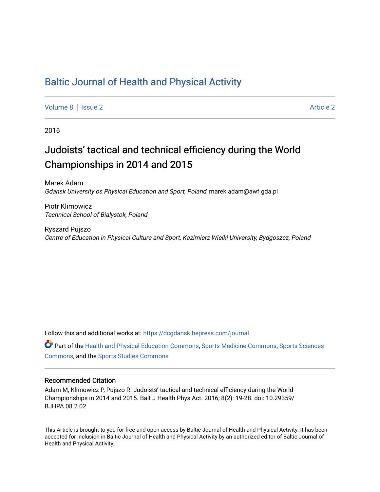## [Baltic Journal of Health and Physical Activity](https://dcgdansk.bepress.com/journal)

[Volume 8](https://dcgdansk.bepress.com/journal/vol8) | [Issue 2](https://dcgdansk.bepress.com/journal/vol8/iss2) Article 2

2016

# Judoists' tactical and technical efficiency during the World Championships in 2014 and 2015

Marek Adam Gdansk University os Physical Education and Sport, Poland, marek.adam@awf.gda.pl

Piotr Klimowicz Technical School of Bialystok, Poland

Ryszard Pujszo Centre of Education in Physical Culture and Sport, Kazimierz Wielki University, Bydgoszcz, Poland

Follow this and additional works at: [https://dcgdansk.bepress.com/journal](https://dcgdansk.bepress.com/journal?utm_source=dcgdansk.bepress.com%2Fjournal%2Fvol8%2Fiss2%2F2&utm_medium=PDF&utm_campaign=PDFCoverPages)

Part of the [Health and Physical Education Commons](http://network.bepress.com/hgg/discipline/1327?utm_source=dcgdansk.bepress.com%2Fjournal%2Fvol8%2Fiss2%2F2&utm_medium=PDF&utm_campaign=PDFCoverPages), [Sports Medicine Commons,](http://network.bepress.com/hgg/discipline/1331?utm_source=dcgdansk.bepress.com%2Fjournal%2Fvol8%2Fiss2%2F2&utm_medium=PDF&utm_campaign=PDFCoverPages) [Sports Sciences](http://network.bepress.com/hgg/discipline/759?utm_source=dcgdansk.bepress.com%2Fjournal%2Fvol8%2Fiss2%2F2&utm_medium=PDF&utm_campaign=PDFCoverPages) [Commons](http://network.bepress.com/hgg/discipline/759?utm_source=dcgdansk.bepress.com%2Fjournal%2Fvol8%2Fiss2%2F2&utm_medium=PDF&utm_campaign=PDFCoverPages), and the [Sports Studies Commons](http://network.bepress.com/hgg/discipline/1198?utm_source=dcgdansk.bepress.com%2Fjournal%2Fvol8%2Fiss2%2F2&utm_medium=PDF&utm_campaign=PDFCoverPages) 

#### Recommended Citation

Adam M, Klimowicz P, Pujszo R. Judoists' tactical and technical efficiency during the World Championships in 2014 and 2015. Balt J Health Phys Act. 2016; 8(2): 19-28. doi: 10.29359/ BJHPA.08.2.02

This Article is brought to you for free and open access by Baltic Journal of Health and Physical Activity. It has been accepted for inclusion in Baltic Journal of Health and Physical Activity by an authorized editor of Baltic Journal of Health and Physical Activity.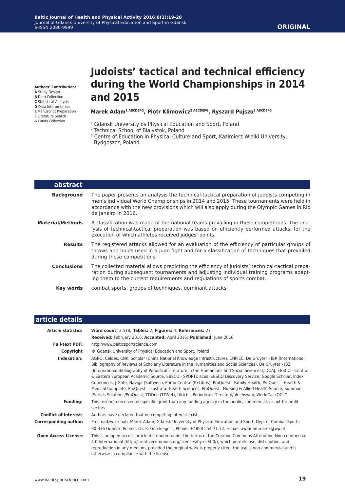**Authors' Contribution:**

- **A** Study Design
- **B** Data Collection
- **C** Statistical Analysis **D** Data Interpretation
- **E** Manuscript Preparation
- **F** Literature Search
- **G** Funds Collection

# **Judoists' tactical and technical efficiency during the World Championships in 2014 and 2015**

#### **Marek Adam1 ABCDEFG, Piotr Klimowicz2 ABCDEFG, Ryszard Pujszo3 ABCDEFG**

- <sup>1</sup> Gdansk University os Physical Education and Sport, Poland
- 2 Technical School of Bialystok, Poland
- <sup>3</sup> Centre of Education in Physical Culture and Sport, Kazimierz Wielki University, Bydgoszcz, Poland

| abstract           |                                                                                                                                                                                                                                                                                                        |  |  |  |
|--------------------|--------------------------------------------------------------------------------------------------------------------------------------------------------------------------------------------------------------------------------------------------------------------------------------------------------|--|--|--|
| <b>Background</b>  | The paper presents an analysis the technical-tactical preparation of judoists competing in<br>men's individual World Championships in 2014 and 2015. These tournaments were held in<br>accordance with the new provisions which will also apply during the Olympic Games in Rio<br>de Janeiro in 2016. |  |  |  |
| Material/Methods   | A classification was made of the national teams prevailing in these competitions. The ana-<br>lysis of technical-tactical preparation was based on efficiently performed attacks, for the<br>execution of which athletes received judges' points.                                                      |  |  |  |
| <b>Results</b>     | The registered attacks allowed for an evaluation of the efficiency of particular groups of<br>throws and holds used in a judo fight and for a classification of techniques that prevailed<br>during these competitions.                                                                                |  |  |  |
| <b>Conclusions</b> | The collected material allows predicting the efficiency of judoists' technical-tactical prepa-<br>ration during subsequent tournaments and adjusting individual training programs adapt-<br>ing them to the current requirements and regulations of sports combat.                                     |  |  |  |
| Key words          | combat sports, groups of techniques, dominant attacks                                                                                                                                                                                                                                                  |  |  |  |

| article details              |                                                                                                                                                                                                                                                                                                                                                                                                                                                                                                                                                                                                                                                                                                                                                                                                      |  |  |  |
|------------------------------|------------------------------------------------------------------------------------------------------------------------------------------------------------------------------------------------------------------------------------------------------------------------------------------------------------------------------------------------------------------------------------------------------------------------------------------------------------------------------------------------------------------------------------------------------------------------------------------------------------------------------------------------------------------------------------------------------------------------------------------------------------------------------------------------------|--|--|--|
| <b>Article statistics</b>    | Word count: 2,518; Tables: 2; Figures: 4; References: 27                                                                                                                                                                                                                                                                                                                                                                                                                                                                                                                                                                                                                                                                                                                                             |  |  |  |
|                              | Received: February 2016; Accepted: April 2016; Published: June 2016                                                                                                                                                                                                                                                                                                                                                                                                                                                                                                                                                                                                                                                                                                                                  |  |  |  |
| <b>Full-text PDF:</b>        | http://www.balticsportscience.com                                                                                                                                                                                                                                                                                                                                                                                                                                                                                                                                                                                                                                                                                                                                                                    |  |  |  |
| Copyright                    | © Gdansk University of Physical Education and Sport, Poland                                                                                                                                                                                                                                                                                                                                                                                                                                                                                                                                                                                                                                                                                                                                          |  |  |  |
| Indexation:                  | AGRO, Celdes, CNKI Scholar (China National Knowledge Infrastructure), CNPIEC, De Gruyter - IBR (International<br>Bibliography of Reviews of Scholarly Literature in the Humanities and Social Sciences), De Gruyter - IBZ<br>(International Bibliography of Periodical Literature in the Humanities and Social Sciences), DOAJ, EBSCO - Central<br>& Eastern European Academic Source, EBSCO - SPORTDiscus, EBSCO Discovery Service, Google Scholar, Index<br>Copernicus, J-Gate, Naviga (Softweco, Primo Central (ExLibris), ProQuest - Family Health, ProQuest - Health &<br>Medical Complete, ProQuest - Illustrata: Health Sciences, ProQuest - Nursing & Allied Health Source, Summon<br>(Serials Solutions/ProQuest, TDOne (TDNet), Ulrich's Periodicals Directory/ulrichsweb, WorldCat (OCLC) |  |  |  |
| <b>Funding:</b>              | This research received no specific grant from any funding agency in the public, commercial, or not-for-profit<br>sectors.                                                                                                                                                                                                                                                                                                                                                                                                                                                                                                                                                                                                                                                                            |  |  |  |
| <b>Conflict of interest:</b> | Authors have declared that no competing interest exists.                                                                                                                                                                                                                                                                                                                                                                                                                                                                                                                                                                                                                                                                                                                                             |  |  |  |
| <b>Corresponding author:</b> | Prof. nadzw. dr hab. Marek Adam; Gdansk University of Physical Education and Sport, Dep. of Combat Sports<br>80-336 Gdańsk, Poland, str. K. Górskiego 1; Phone: +4858 554-71-72, e-mail: awfadammarek@wp.pl                                                                                                                                                                                                                                                                                                                                                                                                                                                                                                                                                                                          |  |  |  |
| <b>Open Access License:</b>  | This is an open access article distributed under the terms of the Creative Commons Attribution-Non-commercial<br>4.0 International (http://creativecommons.org/licenses/by-nc/4.0/), which permits use, distribution, and<br>reproduction in any medium, provided the original work is properly cited, the use is non-commercial and is<br>otherwise in compliance with the license.                                                                                                                                                                                                                                                                                                                                                                                                                 |  |  |  |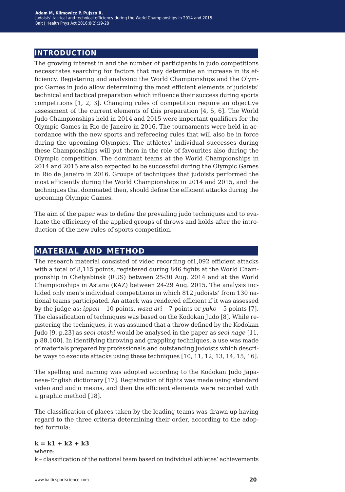## **introduction**

The growing interest in and the number of participants in judo competitions necessitates searching for factors that may determine an increase in its efficiency. Registering and analysing the World Championships and the Olympic Games in judo allow determining the most efficient elements of judoists' technical and tactical preparation which influence their success during sports competitions [1, 2, 3]. Changing rules of competition require an objective assessment of the current elements of this preparation [4, 5, 6]. The World Judo Championships held in 2014 and 2015 were important qualifiers for the Olympic Games in Rio de Janeiro in 2016. The tournaments were held in accordance with the new sports and refereeing rules that will also be in force during the upcoming Olympics. The athletes' individual successes during these Championships will put them in the role of favourites also during the Olympic competition. The dominant teams at the World Championships in 2014 and 2015 are also expected to be successful during the Olympic Games in Rio de Janeiro in 2016. Groups of techniques that judoists performed the most efficiently during the World Championships in 2014 and 2015, and the techniques that dominated then, should define the efficient attacks during the upcoming Olympic Games.

The aim of the paper was to define the prevailing judo techniques and to evaluate the efficiency of the applied groups of throws and holds after the introduction of the new rules of sports competition.

### **material and method**

The research material consisted of video recording of1,092 efficient attacks with a total of 8,115 points, registered during 846 fights at the World Championship in Chelyabinsk (RUS) between 25-30 Aug. 2014 and at the World Championships in Astana (KAZ) between 24-29 Aug. 2015. The analysis included only men's individual competitions in which 812 judoists' from 130 national teams participated. An attack was rendered efficient if it was assessed by the judge as: *ippon* – 10 points, *waza ari* – 7 points or *yuko* – 5 points [7]. The classification of techniques was based on the Kodokan Judo [8]. While registering the techniques, it was assumed that a throw defined by the Kodokan Judo [9, p.23] as *seoi otoshi* would be analysed in the paper as *seoi nage* [11, p.88,100]. In identifying throwing and grappling techniques, a use was made of materials prepared by professionals and outstanding judoists which describe ways to execute attacks using these techniques [10, 11, 12, 13, 14, 15, 16].

The spelling and naming was adopted according to the Kodokan Judo Japanese-English dictionary [17]. Registration of fights was made using standard video and audio means, and then the efficient elements were recorded with a graphic method [18].

The classification of places taken by the leading teams was drawn up having regard to the three criteria determining their order, according to the adopted formula:

#### $k = k1 + k2 + k3$

where: k – classification of the national team based on individual athletes' achievements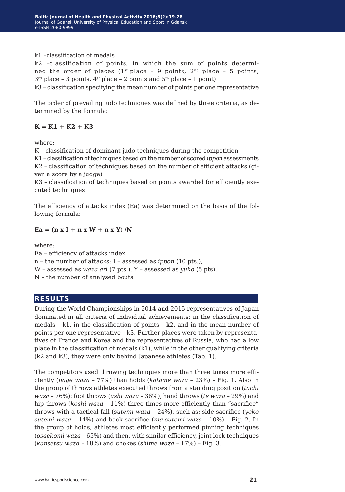k1 –classification of medals

k2 –classification of points, in which the sum of points determined the order of places  $(1^{st}$  place – 9 points,  $2^{nd}$  place – 5 points,  $3<sup>rd</sup>$  place – 3 points,  $4<sup>th</sup>$  place – 2 points and  $5<sup>th</sup>$  place – 1 point)

k3 – classification specifying the mean number of points per one representative

The order of prevailing judo techniques was defined by three criteria, as determined by the formula:

#### $K = K1 + K2 + K3$

where:

K – classification of dominant judo techniques during the competition K1 – classification of techniques based on the number of scored *ippon* assessments K2 – classification of techniques based on the number of efficient attacks (given a score by a judge)

K3 – classification of techniques based on points awarded for efficiently executed techniques

The efficiency of attacks index (Ea) was determined on the basis of the following formula:

 $Ea = (n x I + n x W + n x Y) /N$ 

where:

Ea – efficiency of attacks index n – the number of attacks: I – assessed as *ippon* (10 pts.), W – assessed as *waza ari* (7 pts.), Y – assessed as *yuko* (5 pts). N – the number of analysed bouts

## **results**

During the World Championships in 2014 and 2015 representatives of Japan dominated in all criteria of individual achievements: in the classification of medals  $- k1$ , in the classification of points  $- k2$ , and in the mean number of points per one representative – k3. Further places were taken by representatives of France and Korea and the representatives of Russia, who had a low place in the classification of medals (k1), while in the other qualifying criteria (k2 and k3), they were only behind Japanese athletes (Tab. 1).

The competitors used throwing techniques more than three times more efficiently (*nage waza* – 77%) than holds (*katame waza* – 23%) – Fig. 1. Also in the group of throws athletes executed throws from a standing position (*tachi waza –* 76%): foot throws (*ashi waza* – 36%), hand throws (*te waza* – 29%) and hip throws (*koshi waza* – 11%) three times more efficiently than "sacrifice" throws with a tactical fall (*sutemi waza* – 24%), such as: side sacrifice (*yoko sutemi waza* – 14%) and back sacrifice (*ma sutemi waza* – 10%) – Fig. 2. In the group of holds, athletes most efficiently performed pinning techniques (*osaekomi waza* – 65%) and then, with similar efficiency, joint lock techniques (*kansetsu waza* – 18%) and chokes (*shime waza* – 17%) – Fig. 3.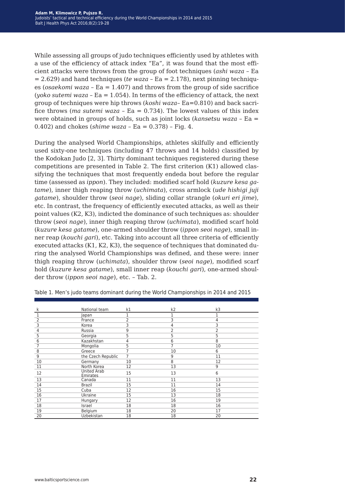While assessing all groups of judo techniques efficiently used by athletes with a use of the efficiency of attack index "Ea", it was found that the most efficient attacks were throws from the group of foot techniques (*ashi waza* – Ea  $= 2.629$ ) and hand techniques (*te waza*  $-$  Ea  $= 2.178$ ), next pinning techniques (*osaekomi waza* – Ea = 1.407) and throws from the group of side sacrifice (*yoko sutemi waza –* Ea =  $1.054$ ). In terms of the efficiency of attack, the next group of techniques were hip throws (*koshi waza*– Ea=0.810) and back sacrifice throws (*ma sutemi waza* – Ea = 0.734). The lowest values of this index were obtained in groups of holds, such as joint locks (*kansetsu waza* – Ea = 0.402) and chokes (*shime waza* – Ea = 0.378) – Fig. 4.

During the analysed World Championships, athletes skilfully and efficiently used sixty-one techniques (including 47 throws and 14 holds) classified by the Kodokan Judo [2, 3]. Thirty dominant techniques registered during these competitions are presented in Table 2. The first criterion (K1) allowed classifying the techniques that most frequently endeda bout before the regular time (assessed as *ippon*). They included: modified scarf hold (*kuzure kesa gatame*), inner thigh reaping throw (*uchimata*), cross armlock (*ude hishigi juji gatame*), shoulder throw (*seoi nage*), sliding collar strangle (*okuri eri jime*), etc. In contrast, the frequency of efficiently executed attacks, as well as their point values (K2, K3), indicted the dominance of such techniques as: shoulder throw (*seoi nage*), inner thigh reaping throw (*uchimata*), modified scarf hold (*kuzure kesa gatame*), one-armed shoulder throw (*ippon seoi nage*), small inner reap (*kouchi gari*), etc. Taking into account all three criteria of efficiently executed attacks (K1, K2, K3), the sequence of techniques that dominated during the analysed World Championships was defined, and these were: inner thigh reaping throw (*uchimata*), shoulder throw (*seoi nage*), modified scarf hold (*kuzure kesa gatame*), small inner reap (*kouchi gari*), one-armed shoulder throw (*ippon seoi nage*), etc. – Tab. 2.

| k              | National team                  | k1 | k <sub>2</sub> | k3 |
|----------------|--------------------------------|----|----------------|----|
| 1              | Japan                          |    |                |    |
| $\overline{2}$ | France                         | 2  | 3              | 4  |
| 3              | Korea                          | 3  | 4              | 3  |
| 4              | Russia                         | 9  | 2              | 2  |
| 5              | Georgia                        | 5  | 5              | 5  |
| 6              | Kazakhstan                     | 4  | 6              | 8  |
|                | Mongolia                       | 5  | 7              | 10 |
| 8              | Greece                         |    | 10             | 6  |
| 9              | the Czech Republic             | 7  | 9              | 11 |
| 10             | Germany                        | 10 | 8              | 12 |
| 11             | North Korea                    | 12 | 13             | 9  |
| 12             | <b>United Arab</b><br>Emirates | 15 | 13             | 6  |
| 13             | Canada                         | 11 | 11             | 13 |
| 14             | <b>Brazil</b>                  | 15 | 11             | 14 |
| 15             | Cuba                           | 12 | 16             | 15 |
| 16             | Ukraine                        | 15 | 13             | 18 |
| 17             | Hungary                        | 12 | 16             | 19 |
| 18             | Israel                         | 18 | 18             | 16 |
| 19             | Belgium                        | 18 | 20             | 17 |
| 20             | Uzbekistan                     | 18 | 18             | 20 |

Table 1. Men's judo teams dominant during the World Championships in 2014 and 2015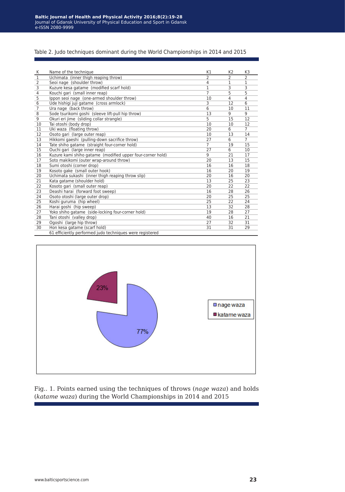#### Table 2. Judo techniques dominant during the World Championships in 2014 and 2015

| К              | Name of the technique                                      | K1             | K <sub>2</sub>           | K <sub>3</sub> |
|----------------|------------------------------------------------------------|----------------|--------------------------|----------------|
| $\overline{1}$ | Uchimata (inner thigh reaping throw)                       |                | $\overline{\phantom{a}}$ | $\overline{2}$ |
| $\overline{2}$ | Seoi nage (shoulder throw)                                 | 4              | 1                        | 1              |
| 3              | Kuzure kesa gatame (modified scarf hold)                   | 1              | 3                        | 3              |
| 4              | Kouchi gari (small inner reap)                             | $\overline{7}$ | 5                        | 5              |
| 5              | Ippon seoi nage (one-armed shoulder throw)                 | 10             | $\overline{4}$           | $\overline{4}$ |
| 6              | Ude hishigi juji gatame (cross armlock)                    | 3              | 12                       | 6              |
| $\overline{7}$ | Ura nage (back throw)                                      | 6              | 10                       | 11             |
| 8              | Sode tsurikomi goshi (sleeve lift-pull hip throw)          | 13             | 9                        | 9              |
| 9              | Okuri eri jime (sliding collar strangle)                   | 5              | 15                       | 12             |
| 10             | Tai otoshi (body drop)                                     | 10             | 10                       | 12             |
| 11             | Uki waza (floating throw)                                  | 20             | 6                        | $\overline{7}$ |
| 12             | Osoto gari (large outer reap)                              | 10             | 13                       | 14             |
| 13             | Hikkomi gaeshi (pulling-down sacrifice throw)              | 27             | 6                        | $\overline{7}$ |
| 14             | Tate shiho gatame (straight four-corner hold)              | $\overline{7}$ | 19                       | 15             |
| 15             | Ouchi gari (large inner reap)                              | 27             | 6                        | 10             |
| 16             | Kuzure kami shiho gatame (modified upper four-corner hold) | 9              | 21                       | 17             |
| 17             | Soto makikomi (outer wrap-around throw)                    | 20             | 13                       | 15             |
| 18             | Sumi otoshi (corner drop)                                  | 16             | 16                       | 18             |
| 19             | Kosoto gake (small outer hook)                             | 16             | 20                       | 19             |
| 20             | Uchimata sukashi (inner thigh reaping throw slip)          | 20             | 16                       | 20             |
| 21             | Kata gatame (shoulder hold)                                | 13             | 25                       | 23             |
| 22             | Kosoto gari (small outer reap)                             | 20             | 22                       | 22             |
| 23             | Deashi harai (forward foot sweep)                          | 16             | 28                       | 26             |
| 24             | Osoto otoshi (large outer drop)                            | 20             | 25                       | 25             |
| 25             | Koshi guruma (hip wheel)                                   | 25             | 22                       | 24             |
| 26             | Harai goshi (hip sweep)                                    | 13             | 32                       | 28             |
| 27             | Yoko shiho gatame (side-locking four-corner hold)          | 19             | 28                       | 27             |
| 28             | Tani otoshi (valley drop)                                  | 40             | 16                       | 21             |
| 29             | Ogoshi (large hip throw)                                   | 27             | 32                       | 31             |
| 30             | Hon kesa gatame (scarf hold)                               | 31             | 31                       | 29             |
|                | 61 efficiently performed judo techniques were registered   |                |                          |                |



Fig.. 1. Points earned using the techniques of throws (*nage waza*) and holds (*katame waza*) during the World Championships in 2014 and 2015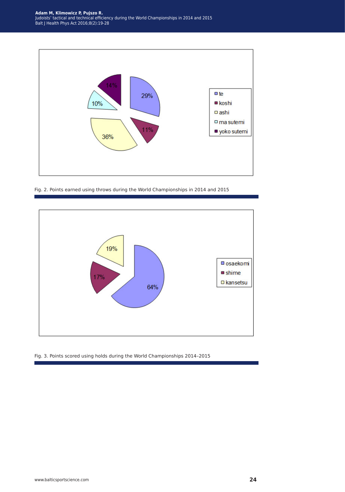

Fig. 2. Points earned using throws during the World Championships in 2014 and 2015



Fig. 3. Points scored using holds during the World Championships 2014–2015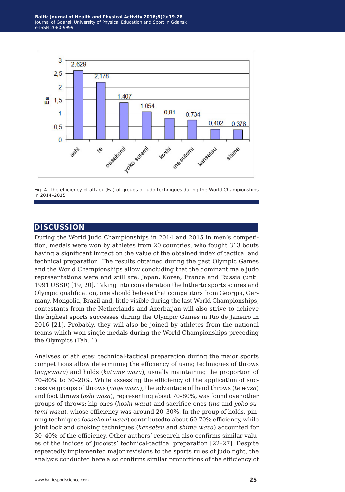

Fig. 4. The efficiency of attack (Ea) of groups of judo techniques during the World Championships in 2014–2015

## **discussion**

During the World Judo Championships in 2014 and 2015 in men's competition, medals were won by athletes from 20 countries, who fought 313 bouts having a significant impact on the value of the obtained index of tactical and technical preparation. The results obtained during the past Olympic Games and the World Championships allow concluding that the dominant male judo representations were and still are: Japan, Korea, France and Russia (until 1991 USSR) [19, 20]. Taking into consideration the hitherto sports scores and Olympic qualification, one should believe that competitors from Georgia, Germany, Mongolia, Brazil and, little visible during the last World Championships, contestants from the Netherlands and Azerbaijan will also strive to achieve the highest sports successes during the Olympic Games in Rio de Janeiro in 2016 [21]. Probably, they will also be joined by athletes from the national teams which won single medals during the World Championships preceding the Olympics (Tab. 1).

Analyses of athletes' technical-tactical preparation during the major sports competitions allow determining the efficiency of using techniques of throws (*nagewaza*) and holds (*katame waza*), usually maintaining the proportion of 70–80% to 30–20%. While assessing the efficiency of the application of successive groups of throws (*nage waza*), the advantage of hand throws (*te waza*) and foot throws (*ashi waza*), representing about 70–80%, was found over other groups of throws: hip ones (*koshi waza*) and sacrifice ones (*ma* and *yoko sutemi waza*), whose efficiency was around 20–30%. In the group of holds, pinning techniques (*osaekomi waza*) contributedto about 60-70% efficiency, while joint lock and choking techniques (*kansetsu* and *shime waza*) accounted for 30–40% of the efficiency. Other authors' research also confirms similar values of the indices of judoists' technical-tactical preparation [22–27]. Despite repeatedly implemented major revisions to the sports rules of judo fight, the analysis conducted here also confirms similar proportions of the efficiency of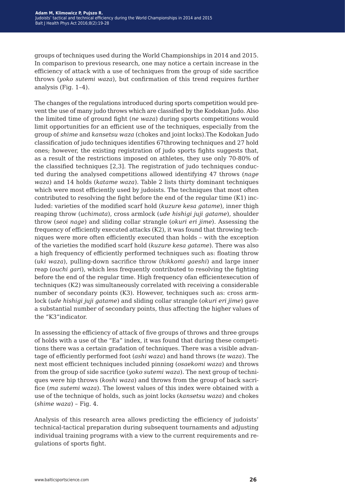groups of techniques used during the World Championships in 2014 and 2015. In comparison to previous research, one may notice a certain increase in the efficiency of attack with a use of techniques from the group of side sacrifice throws (*yoko sutemi waza*), but confirmation of this trend requires further analysis (Fig. 1–4).

The changes of the regulations introduced during sports competition would prevent the use of many judo throws which are classified by the Kodokan Judo. Also the limited time of ground fight (*ne waza*) during sports competitions would limit opportunities for an efficient use of the techniques, especially from the group of *shime* and *kansetsu waza* (chokes and joint locks).The Kodokan Judo classification of judo techniques identifies 67throwing techniques and 27 hold ones; however, the existing registration of judo sports fights suggests that, as a result of the restrictions imposed on athletes, they use only 70-80% of the classified techniques [2,3]. The registration of judo techniques conducted during the analysed competitions allowed identifying 47 throws (*nage waza*) and 14 holds (*katame waza*). Table 2 lists thirty dominant techniques which were most efficiently used by judoists. The techniques that most often contributed to resolving the fight before the end of the regular time (K1) included: varieties of the modified scarf hold (*kuzure kesa gatame*), inner thigh reaping throw (*uchimata*), cross armlock (*ude hishigi juji gatame*), shoulder throw (*seoi nage*) and sliding collar strangle (*okuri eri jime*). Assessing the frequency of efficiently executed attacks (K2), it was found that throwing techniques were more often efficiently executed than holds – with the exception of the varieties the modified scarf hold (*kuzure kesa gatame*). There was also a high frequency of efficiently performed techniques such as: floating throw (*uki waza*), pulling-down sacrifice throw (*hikkomi gaeshi*) and large inner reap (*ouchi gari*), which less frequently contributed to resolving the fighting before the end of the regular time. High frequency ofan efficientexecution of techniques (K2) was simultaneously correlated with receiving a considerable number of secondary points (K3). However, techniques such as: cross armlock (*ude hishigi juji gatame*) and sliding collar strangle (*okuri eri jime*) gave a substantial number of secondary points, thus affecting the higher values of the "K3"indicator.

In assessing the efficiency of attack of five groups of throws and three groups of holds with a use of the "Ea" index, it was found that during these competitions there was a certain gradation of techniques. There was a visible advantage of efficiently performed foot (*ashi waza*) and hand throws (*te waza*). The next most efficient techniques included pinning (*osaekomi waza*) and throws from the group of side sacrifice (*yoko sutemi waza*). The next group of techniques were hip throws (*koshi waza*) and throws from the group of back sacrifice (*ma sutemi waza*). The lowest values of this index were obtained with a use of the technique of holds, such as joint locks (*kansetsu waza*) and chokes (*shime waza*) – Fig. 4.

Analysis of this research area allows predicting the efficiency of judoists' technical-tactical preparation during subsequent tournaments and adjusting individual training programs with a view to the current requirements and regulations of sports fight.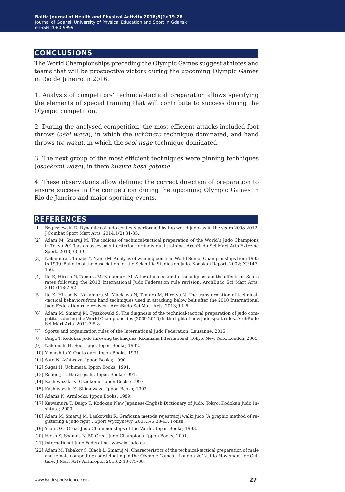## **conclusions**

The World Championships preceding the Olympic Games suggest athletes and teams that will be prospective victors during the upcoming Olympic Games in Rio de Janeiro in 2016.

1. Analysis of competitors' technical-tactical preparation allows specifying the elements of special training that will contribute to success during the Olympic competition.

2. During the analysed competition, the most efficient attacks included foot throws (*ashi waza*), in which the *uchimata* technique dominated, and hand throws (*te waza*), in which the *seoi nage* technique dominated.

3. The next group of the most efficient techniques were pinning techniques (*osaekomi waza*), in them *kuzure kesa gatame*.

4. These observations allow defining the correct direction of preparation to ensure success in the competition during the upcoming Olympic Games in Rio de Janeiro and major sporting events.

### **references**

- [1] Boguszewski D. Dynamics of judo contests performed by top world judokas in the years 2008-2012. J Combat Sport Mart Arts. 2014;1(2):31-35.
- [2] Adam M, Smaruj M. The indices of technical-tactical preparation of the World's Judo Champions in Tokyo 2010 as an assessment criterion for individual training. ArchBudo Sci Mart Arts Extreme Sport. 2013;33-39.
- [3] Nakamura I, Tanabe Y, Nanjo M. Analysis of winning points in World Senior Championships from 1995 to 1999. Bulletin of the Association for the Scientific Studies on Judo. Kodokan Report. 2002;(X):147- 156.
- [4] Ito K, Hirose N, Tamura M, Nakamura M. Alterations in kumite techniques and the effects on Score rates following the 2013 International Judo Federation rule revision. ArchBudo Sci Mart Arts. 2015;11:87-92.
- [5] Ito K, Hirose N, Nakamura M, Maekawa N, Tamura M, Hirotsu N. The transformation of technical- -tactical behaviors from hand techniques used in attacking below belt after the 2010 International Judo Federation rule revision. ArchBudo Sci Mart Arts. 2013;9:1-6.
- [6] Adam M, Smaruj M, Tyszkowski S. The diagnosis of the technical-tactical preparation of judo competitors during the World Championships (2009-2010) in the light of new judo sport rules. ArchBudo Sci Mart Arts. 2011;7:5-8.
- [7] Sports and organization rules of the International Judo Federation. Lausanne; 2015.
- [8] Daigo T. Kodokan judo throwing techniques. Kodansha International. Tokyo, New York, London; 2005.
- [9] Nakanishi H. Seoi-nage. Ippon Books; 1992.
- [10] Yamashita Y. Osoto-gari. Ippon Books; 1991.
- [11] Sato N. Ashiwaza. Ippon Books; 1990.
- [12] Sugai H. Uchimata. Ippon Books; 1991.
- [13] Rouge J-L. Harai-goshi. Ippon Books;1991.
- [14] Kashiwazaki K. Osaekomi. Ippon Books; 1997.
- [15] Kashiwazaki K. Shimewaza. Ippon Books; 1992.
- [16] Adams N. Armlocks. Ippon Books; 1989.
- [17] Kawamura T, Daigo T. Kodokan New Japanese-English Dictionary of Judo. Tokyo: Kodokan Judo Institute; 2000.
- [18] Adam M, Smaruj M, Laskowski R. Graficzna metoda rejestracji walki judo [A graphic method of registering a judo fight]. Sport Wyczynowy. 2005;5/6:33-43. Polish.
- [19] Yeoh O.O. Great Judo Championships of the World. Ippon Books; 1993.
- [20] Hicks S, Soames N. 50 Great Judo Champions. Ippon Books; 2001.
- [21] International Judo Federation. www.intjudo.eu
- [22] Adam M, Tabakov S, Błach Ł, Smaruj M. Characteristics of the technical-tactical preparation of male and female competitors participating in the Olympic Games – London 2012. Ido Movement for Culture. J Mart Arts Anthropol. 2013;2(13):75-88.